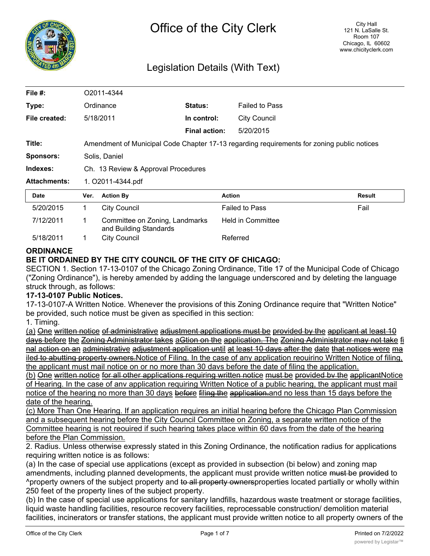

# Legislation Details (With Text)

| File #:             | O2011-4344                                                                                 |                                                          |                      |                       |        |  |  |  |  |  |  |
|---------------------|--------------------------------------------------------------------------------------------|----------------------------------------------------------|----------------------|-----------------------|--------|--|--|--|--|--|--|
| Type:               |                                                                                            | Ordinance                                                | Status:              | <b>Failed to Pass</b> |        |  |  |  |  |  |  |
| File created:       |                                                                                            | 5/18/2011                                                | In control:          | <b>City Council</b>   |        |  |  |  |  |  |  |
|                     |                                                                                            |                                                          | <b>Final action:</b> | 5/20/2015             |        |  |  |  |  |  |  |
| Title:              | Amendment of Municipal Code Chapter 17-13 regarding requirements for zoning public notices |                                                          |                      |                       |        |  |  |  |  |  |  |
| <b>Sponsors:</b>    | Solis, Daniel                                                                              |                                                          |                      |                       |        |  |  |  |  |  |  |
| Indexes:            | Ch. 13 Review & Approval Procedures                                                        |                                                          |                      |                       |        |  |  |  |  |  |  |
| <b>Attachments:</b> | 1. O2011-4344.pdf                                                                          |                                                          |                      |                       |        |  |  |  |  |  |  |
| Date                | Ver.                                                                                       | <b>Action By</b>                                         |                      | <b>Action</b>         | Result |  |  |  |  |  |  |
| 5/20/2015           | 1.                                                                                         | City Council                                             |                      | <b>Failed to Pass</b> | Fail   |  |  |  |  |  |  |
| 7/12/2011           | 1                                                                                          | Committee on Zoning, Landmarks<br>and Building Standards |                      | Held in Committee     |        |  |  |  |  |  |  |
| 5/18/2011           | 1                                                                                          | <b>City Council</b><br>Referred                          |                      |                       |        |  |  |  |  |  |  |

## **ORDINANCE**

# **BE IT ORDAINED BY THE CITY COUNCIL OF THE CITY OF CHICAGO:**

SECTION 1. Section 17-13-0107 of the Chicago Zoning Ordinance, Title 17 of the Municipal Code of Chicago ("Zoning Ordinance"), is hereby amended by adding the language underscored and by deleting the language struck through, as follows:

# **17-13-0107 Public Notices.**

17-13-0107-A Written Notice. Whenever the provisions of this Zoning Ordinance require that "Written Notice" be provided, such notice must be given as specified in this section:

1. Timing.

(a) One written notice of administrative adjustment applications must be provided by the applicant at least 10 days before the Zoning Administrator takes aGtion on the application. The Zoning Administrator may not take fi nal action on an administrative adjustment application until at least 10 days after the date that notices were ma iled to abutting property owners. Notice of Filing. In the case of any application reouirino Written Notice of filing, the applicant must mail notice on or no more than 30 davs before the date of filing the application.

(b) One written notice for all other applications requiring written notice must be provided bv the applicantNotice of Hearing. In the case of anv application requiring Written Notice of a public hearing, the applicant must mail notice of the hearing no more than 30 days before filing the application and no less than 15 days before the date of the hearing.

(c) More Than One Hearing. If an application requires an initial hearing before the Chicago Plan Commission and a subsequent hearing before the City Council Committee on Zoning, a separate written notice of the Committee hearing is not reouired if such hearing takes place within 60 davs from the date of the hearing before the Plan Commission.

2. Radius. Unless otherwise expressly stated in this Zoning Ordinance, the notification radius for applications requiring written notice is as follows:

(a) In the case of special use applications (except as provided in subsection (bi below) and zoning map amendments, including planned developments, the applicant must provide written notice must be provided to ^property owners of the subject property and to all property ownersproperties located partially or wholly within 250 feet of the property lines of the subject property.

(b) In the case of special use applications for sanitary landfills, hazardous waste treatment or storage facilities, liquid waste handling facilities, resource recovery facilities, reprocessable construction/ demolition material facilities, incinerators or transfer stations, the applicant must provide written notice to all property owners of the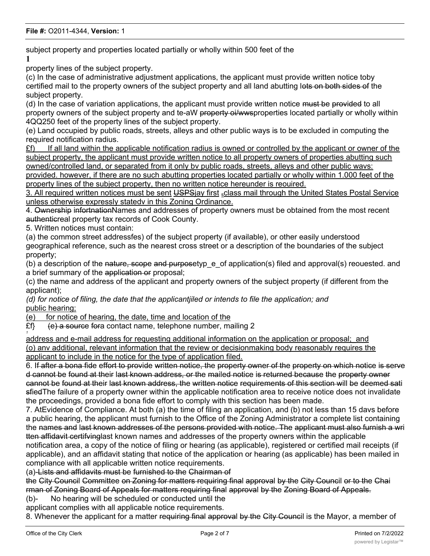subject property and properties located partially or wholly within 500 feet of the

**1**

property lines of the subject property.

(c) In the case of administrative adjustment applications, the applicant must provide written notice toby certified mail to the property owners of the subject property and all land abutting lots on both sides of the subject property.

(d) In the case of variation applications, the applicant must provide written notice must be provided to all property owners of the subject property and te-aW property oi/wwsproperties located partially or wholly within 4QQ250 feet of the property lines of the subject property.

(e) Land occupied by public roads, streets, alleys and other public ways is to be excluded in computing the required notification radius.

 $E f$ ) If all land within the applicable notification radius is owned or controlled by the applicant or owner of the subject property, the applicant must provide written notice to all property owners of properties abutting such owned/controlled land, or separated from it only bv public roads, streets, alleys and other public wavs:

provided. however, if there are no such abutting properties located partially or wholly within 1.000 feet of the property lines of the subject property, then no written notice hereunder is reouired.

3. All required written notices must be sent USPSjay first sclass mail through the United States Postal Service unless otherwise expressly statedv in this Zoning Ordinance.

4. Ownership infortnationNames and addresses of property owners must be obtained from the most recent authenticreal property tax records of Cook County.

5. Written notices must contain:

(a) the common street addressfes) of the subject property (if available), or other easily understood geographical reference, such as the nearest cross street or a description of the boundaries of the subject property;

(b) a description of the nature, scope and purposetyp e of application(s) filed and approval(s) reouested. and a brief summary of the application or proposal;

(c) the name and address of the applicant and property owners of the subject property (if different from the applicant);

*(d) for notice of filing, the date that the applicantjiled or intends to file the application; and* public hearing;

(e) for notice of hearing, the date, time and location of the

£f} (e) a source fora contact name, telephone number, mailing 2 *1*

address and e-mail address for requesting additional information on the application or proposal;\_and (o) anv additional, relevant information that the review or decisionmaking body reasonably requires the applicant to include in the notice for the type of application filed.

6. If after a bona fide effort to provide written notice, the property owner of the property on which notice is serve d cannot be found at their last known address, or the mailed notice is returned because the property owner cannot be found at their last known address, the written notice requirements of this section will be deemed sati sfiedThe failure of a property owner within the applicable notification area to receive notice does not invalidate the proceedings, provided a bona fide effort to comply with this section has been made.

7. AtEvidence of Compliance. At both (a) the time of filing an application, and (b) not less than 15 davs before a public hearing, the applicant must furnish to the Office of the Zoning Administrator a complete list containing the names and last known addresses of the persons provided with notice. The applicant must also furnish a wri tten affidavit certifvinglast known names and addresses of the property owners within the applicable

notification area, a copy of the notice of filing or hearing (as applicable), registered or certified mail receipts (if applicable), and an affidavit stating that notice of the application or hearing (as applicable) has been mailed in compliance with all applicable written notice requirements.

(a)-Lists and affidavits must be furnished to the Chairman of

the City Council Committee on Zoning for matters requiring final approval by the City Council or to the Chai rman of Zoning Board of Appeals for matters requiring final approval by the Zoning Board of Appeals.

(b)- No hearing will be scheduled or conducted until the

applicant complies with all applicable notice requirements.

8. Whenever the applicant for a matter requiring final approval by the City Council is the Mayor, a member of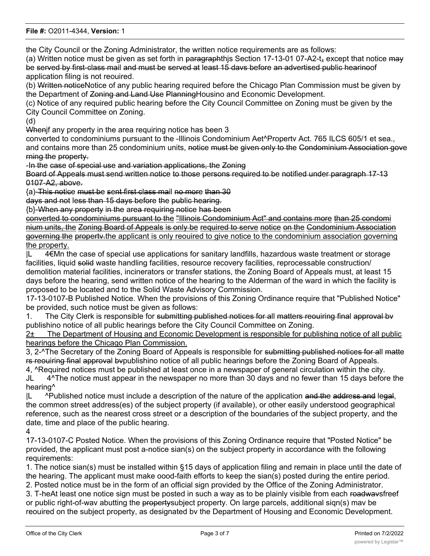#### **File #:** O2011-4344, **Version:** 1

the City Council or the Zoning Administrator, the written notice requirements are as follows:

(a) Written notice must be given as set forth in paragraphthis Section 17-13-01 07-A2-t<sub>+</sub> except that notice may be served by first-class mail and must be served at least 15 davs before an advertised public hearinoof application filing is not reouired.

(b) Written noticeNotice of any public hearing required before the Chicago Plan Commission must be given by the Department of Zoning and Land Use PlanningHousino and Economic Development.

(c) Notice of any required public hearing before the City Council Committee on Zoning must be given by the City Council Committee on Zoning.

(d)

When if any property in the area requiring notice has been 3

converted to condominiums pursuant to the -Illinois Condominium Aet^Propertv Act. 765 ILCS 605/1 et sea., and contains more than 25 condominium units, notice must be given only to the Condominium Association gove rning the property.

-In the case of special use and variation applications, the Zoning

Board of Appeals must send written notice to those persons required to be notified under paragraph 17-13 0107-A2, above.

{a)-This notice must be sent first class mail no more than 30

days and not less than 15 days before the public hearing.

{b}-When any property in the area requiring notice has been

converted to condominiums pursuant to the "Illinois Condominium Act" and contains more than 25 condomi nium units, the Zoning Board of Appeals is only be required to serve notice on the Condominium Association governing the propertv.the applicant is only reouired to give notice to the condominium association governing the property.

|L 4€Mn the case of special use applications for sanitary landfills, hazardous waste treatment or storage facilities, liquid solid waste handling facilities, resource recovery facilities, reprocessable construction/ demolition material facilities, incinerators or transfer stations, the Zoning Board of Appeals must, at least 15 days before the hearing, send written notice of the hearing to the Alderman of the ward in which the facility is proposed to be located and to the Solid Waste Advisory Commission.

17-13-0107-B Published Notice. When the provisions of this Zoning Ordinance require that "Published Notice" be provided, such notice must be given as follows:

1. The City Clerk is responsible for submitting published notices for all matters reouiring final approval by publishino notice of all public hearings before the City Council Committee on Zoning.

2± The Department of Housing and Economic Development is responsible for publishing notice of all public hearings before the Chicago Plan Commission.

3, 2-^The Secretary of the Zoning Board of Appeals is responsible for submitting published notices for all matte rs reouiring final approval bvpublishino notice of all public hearings before the Zoning Board of Appeals.

4, ^Required notices must be published at least once in a newspaper of general circulation within the city. JL 4^The notice must appear in the newspaper no more than 30 days and no fewer than 15 days before the hearing^

 $|L \rangle$  ^Published notice must include a description of the nature of the application and the address and legal, the common street address(es) of the subject property (if available), or other easily understood geographical reference, such as the nearest cross street or a description of the boundaries of the subject property, and the date, time and place of the public hearing.

4

17-13-0107-C Posted Notice. When the provisions of this Zoning Ordinance require that "Posted Notice" be provided, the applicant must post a-notice sian(s) on the subject property in accordance with the following requirements:

1. The notice sian(s) must be installed within §15 days of application filing and remain in place until the date of the hearing. The applicant must make oood-faith efforts to keep the sian(s) posted during the entire period. 2. Posted notice must be in the form of an official sign provided by the Office of the Zoning Administrator.

3. T-heAt least one notice sign must be posted in such a way as to be plainly visible from each roadwaysfreef or public right-of-wav abutting the propertysubject property. On large parcels, additional siqn(s) mav be reouired on the subject property, as designated bv the Department of Housing and Economic Development.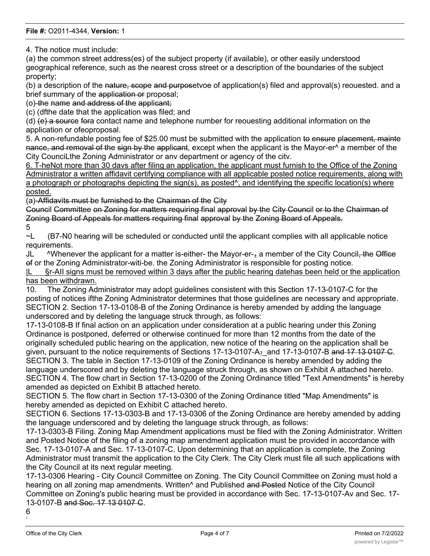4. The notice must include:

(a) the common street address(es) of the subject property (if available), or other easily understood geographical reference, such as the nearest cross street or a description of the boundaries of the subject property;

(b) a description of the nature, scope and purposetvoe of application(s) filed and approval(s) reouested. and a brief summary of the application or proposal;

(o)-the name and address of the applicant;

(c) (dfthe date that the application was filed; and

(d) (e) a source fora contact name and telephone number for reouesting additional information on the application or ofeoproposal.

5. A non-refundable posting fee of \$25.00 must be submitted with the application to ensure placement, mainte nance, and removal of the sign by the applicant, except when the applicant is the Mayor-er<sup>^</sup> a member of the City CounciLthe Zoning Administrator or anv department or agency of the citv.

6. T-heNot more than 30 davs after filing an application, the applicant must furnish to the Office of the Zoning Administrator a written affidavit certifying compliance with all applicable posted notice requirements, along with a photograph or photographs depicting the sign(s), as posted^, and identifying the specific location(s) where posted.

(a)-Affidavits must be furnished to the Chairman of the City

Council Committee on Zoning for matters requiring final approval by the City Council or to the Chairman of Zoning Board of Appeals for matters requiring final approval by the Zoning Board of Appeals.

5

~L (B7-N0 hearing will be scheduled or conducted until the applicant complies with all applicable notice requirements.

JL  $\sim$  ^Whenever the applicant for a matter is-either- the Mayor-er- $_{\pm}$  a member of the City Council, the Office of or the Zoning Administrator-witi-be. the Zoning Administrator is responsible for posting notice.

|L §r-AII signs must be removed within 3 days after the public hearing datehas been held or the application has been withdrawn.

10. The Zoning Administrator may adopt guidelines consistent with this Section 17-13-0107-C for the posting of notices ifthe Zoning Administrator determines that those guidelines are necessary and appropriate. SECTION 2. Section 17-13-0108-B of the Zoning Ordinance is hereby amended by adding the language underscored and by deleting the language struck through, as follows:

17-13-0108-B If final action on an application under consideration at a public hearing under this Zoning Ordinance is postponed, deferred or otherwise continued for more than 12 months from the date of the originally scheduled public hearing on the application, new notice of the hearing on the application shall be given, pursuant to the notice requirements of Sections 17-13-0107-A<sub>7</sub> and 17-13-0107-B and 17 13 0107 C. SECTION 3. The table in Section 17-13-0109 of the Zoning Ordinance is hereby amended by adding the language underscored and by deleting the language struck through, as shown on Exhibit A attached hereto. SECTION 4. The flow chart in Section 17-13-0200 of the Zoning Ordinance titled "Text Amendments" is hereby amended as depicted on Exhibit B attached hereto.

SECTION 5. The flow chart in Section 17-13-0300 of the Zoning Ordinance titled "Map Amendments" is hereby amended as depicted on Exhibit C attached hereto.

SECTION 6. Sections 17-13-0303-B and 17-13-0306 of the Zoning Ordinance are hereby amended by adding the language underscored and by deleting the language struck through, as follows:

17-13-0303-B Filing. Zoning Map Amendment applications must be filed with the Zoning Administrator. Written and Posted Notice of the filing of a zoning map amendment application must be provided in accordance with Sec. 17-13-0107-A and Sec. 17-13-0107-C. Upon determining that an application is complete, the Zoning Administrator must transmit the application to the City Clerk. The City Clerk must file all such applications with the City Council at its next regular meeting.

17-13-0306 Hearing - City Council Committee on Zoning. The City Council Committee on Zoning must hold a hearing on all zoning map amendments. Written<sup>^</sup> and Published and Posted Notice of the City Council Committee on Zoning's public hearing must be provided in accordance with Sec. 17-13-0107-Av and Sec. 17- 13-0107-B and Soc. 17 13 0107 C.

6 J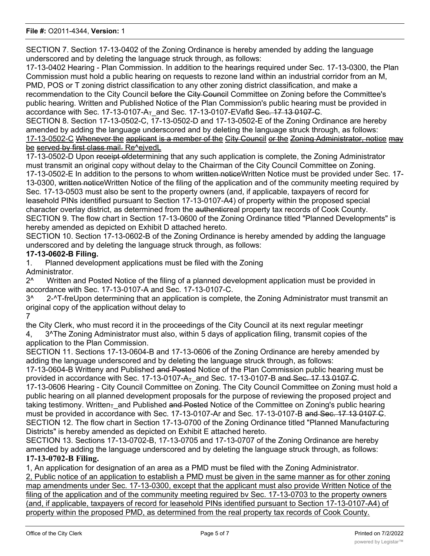## **File #:** O2011-4344, **Version:** 1

SECTION 7. Section 17-13-0402 of the Zoning Ordinance is hereby amended by adding the language underscored and by deleting the language struck through, as follows:

17-13-0402 Hearing - Plan Commission. In addition to the hearings required under Sec. 17-13-0300, the Plan Commission must hold a public hearing on requests to rezone land within an industrial corridor from an M, PMD, POS or T zoning district classification to any other zoning district classification, and make a recommendation to the City Council before the City Council Committee on Zoning before the Committee's public hearing. Written and Published Notice of the Plan Commission's public hearing must be provided in

accordance with Sec. 17-13-0107- $A_T$  and Sec. 17-13-0107-EVafld Sec. 17 13 0107-C. SECTION 8. Section 17-13-0502-C, 17-13-0502-D and 17-13-0502-E of the Zoning Ordinance are hereby amended by adding the language underscored and by deleting the language struck through, as follows: 17-13-0502-C Whenever the applicant is a member of the City Council or the Zoning Administrator, notice may

be served by first class mail. Re^ejvedL

17-13-0502-D Upon receipt of determining that any such application is complete, the Zoning Administrator must transmit an original copy without delay to the Chairman of the City Council Committee on Zoning. 17-13-0502-E In addition to the persons to whom written noticeWritten Notice must be provided under Sec. 17-13-0300, written noticeWritten Notice of the filing of the application and of the community meeting required by Sec. 17-13-0503 must also be sent to the property owners (and, if applicable, taxpayers of record for leasehold PINs identified pursuant to Section 17-13-0107-A4) of property within the proposed special character overlay district, as determined from the authenticreal property tax records of Cook County. SECTION 9. The flow chart in Section 17-13-0600 of the Zoning Ordinance titled "Planned Developments" is hereby amended as depicted on Exhibit D attached hereto.

SECTION 10. Section 17-13-0602-B of the Zoning Ordinance is hereby amended by adding the language underscored and by deleting the language struck through, as follows:

# **17-13-0602-B Filing.**

1. Planned development applications must be filed with the Zoning Administrator.

2^ Written and Posted Notice of the filing of a planned development application must be provided in accordance with Sec. 17-13-0107-A and Sec. 17-13-0107-C.

3^ 2-^T-freUpon determining that an application is complete, the Zoning Administrator must transmit an original copy of the application without delay to

7

the City Clerk, who must record it in the proceedings of the City Council at its next regular meetingr 4, 3^The Zoning Administrator must also, within 5 days of application filing, transmit copies of the application to the Plan Commission.

SECTION 11. Sections 17-13-0604-B and 17-13-0606 of the Zoning Ordinance are hereby amended by adding the language underscored and by deleting the language struck through, as follows:

17-13-0604-B Writteny and Published and Posted Notice of the Plan Commission public hearing must be provided in accordance with Sec. 17-13-0107- $A<sub>T</sub>$  and Sec. 17-13-0107-B and Sec. 17 13 0107 C.

17-13-0606 Hearing - City Council Committee on Zoning. The City Council Committee on Zoning must hold a public hearing on all planned development proposals for the purpose of reviewing the proposed project and taking testimony. Written<sub>T</sub> and Published and Posted Notice of the Committee on Zoning's public hearing must be provided in accordance with Sec. 17-13-0107-Ar and Sec. 17-13-0107-B and Sec. 17 13 0107 C. SECTION 12. The flow chart in Section 17-13-0700 of the Zoning Ordinance titled "Planned Manufacturing Districts" is hereby amended as depicted on Exhibit E attached hereto.

SECTION 13. Sections 17-13-0702-B, 17-13-0705 and 17-13-0707 of the Zoning Ordinance are hereby amended by adding the language underscored and by deleting the language struck through, as follows: **17-13-0702-B Filing.**

1, An application for designation of an area as a PMD must be filed with the Zoning Administrator. 2, Public notice of an application to establish a PMD must be given in the same manner as for other zoning map amendments under Sec. 17-13-0300, except that the applicant must also provide Written Notice of the filing of the application and of the community meeting reguired bv Sec. 17-13-0703 to the property owners (and, if applicable, taxpayers of record for leasehold PINs identified pursuant to Section 17-13-0107-A4) of property within the proposed PMD, as determined from the real property tax records of Cook County.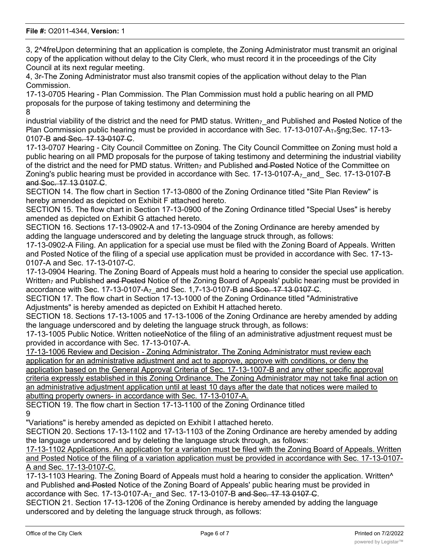3, 2^4freUpon determining that an application is complete, the Zoning Administrator must transmit an original copy of the application without delay to the City Clerk, who must record it in the proceedings of the City Council at its next regular meeting.

4, 3r-The Zoning Administrator must also transmit copies of the application without delay to the Plan Commission.

17-13-0705 Hearing - Plan Commission. The Plan Commission must hold a public hearing on all PMD proposals for the purpose of taking testimony and determining the 8

industrial viability of the district and the need for PMD status. Written<sub>7</sub> and Published and Posted Notice of the Plan Commission public hearing must be provided in accordance with Sec. 17-13-0107-A $_{T=}$ §ng;Sec. 17-13-0107-B and Sec. 17 13-0107 C.

17-13-0707 Hearing - City Council Committee on Zoning. The City Council Committee on Zoning must hold a public hearing on all PMD proposals for the purpose of taking testimony and determining the industrial viability of the district and the need for PMD status. Written<sub>7</sub> and Published and Posted Notice of the Committee on Zoning's public hearing must be provided in accordance with Sec.  $17-13-0107-A<sub>7</sub>$  and Sec. 17-13-0107-B and Soc. 17 13 0107 C.

SECTION 14. The flow chart in Section 17-13-0800 of the Zoning Ordinance titled "Site Plan Review" is hereby amended as depicted on Exhibit F attached hereto.

SECTION 15. The flow chart in Section 17-13-0900 of the Zoning Ordinance titled "Special Uses" is hereby amended as depicted on Exhibit G attached hereto.

SECTION 16. Sections 17-13-0902-A and 17-13-0904 of the Zoning Ordinance are hereby amended by adding the language underscored and by deleting the language struck through, as follows:

17-13-0902-A Filing. An application for a special use must be filed with the Zoning Board of Appeals. Written and Posted Notice of the filing of a special use application must be provided in accordance with Sec. 17-13- 0107-A and Sec. 17-13-0107-C.

17-13-0904 Hearing. The Zoning Board of Appeals must hold a hearing to consider the special use application. Written<sub>7</sub> and Published and Posted Notice of the Zoning Board of Appeals' public hearing must be provided in accordance with Sec. 17-13-0107-A<sub>7</sub> and Sec. 1,7-13-0107-B and Soo. 17 13 0107 C.

SECTION 17. The flow chart in Section 17-13-1000 of the Zoning Ordinance titled "Administrative Adjustments" is hereby amended as depicted on Exhibit H attached hereto.

SECTION 18. Sections 17-13-1005 and 17-13-1006 of the Zoning Ordinance are hereby amended by adding the language underscored and by deleting the language struck through, as follows:

17-13-1005 Public Notice. Written notieeNotice of the filing of an administrative adjustment request must be provided in accordance with Sec. 17-13-0107-A.

17-13-1006 Review and Decision - Zoning Administrator. The Zoning Administrator must review each application for an administrative adjustment and act to approve, approve with conditions, or deny the application based on the General Approval Criteria of Sec. 17-13-1007-B and any other specific approval

criteria expressly established in this Zoning Ordinance. The Zoning Administrator may not take final action on an administrative adjustment application until at least 10 days after the date that notices were mailed to abutting property owners- in accordance with Sec. 17-13-0107-A.

SECTION 19. The flow chart in Section 17-13-1100 of the Zoning Ordinance titled 9

"Variations" is hereby amended as depicted on Exhibit I attached hereto.

SECTION 20. Sections 17-13-1102 and 17-13-1103 of the Zoning Ordinance are hereby amended by adding the language underscored and by deleting the language struck through, as follows:

17-13-1102 Applications. An application for a variation must be filed with the Zoning Board of Appeals. Written and Posted Notice of the filing of a variation application must be provided in accordance with Sec. 17-13-0107- A and Sec. 17-13-0107-C.

17-13-1103 Hearing. The Zoning Board of Appeals must hold a hearing to consider the application. Written^ and Published and Posted Notice of the Zoning Board of Appeals' public hearing must be provided in accordance with Sec. 17-13-0107- $A_T$  and Sec. 17-13-0107-B and Sec. 17 13 0107 C.

SECTION 21. Section 17-13-1206 of the Zoning Ordinance is hereby amended by adding the language underscored and by deleting the language struck through, as follows: